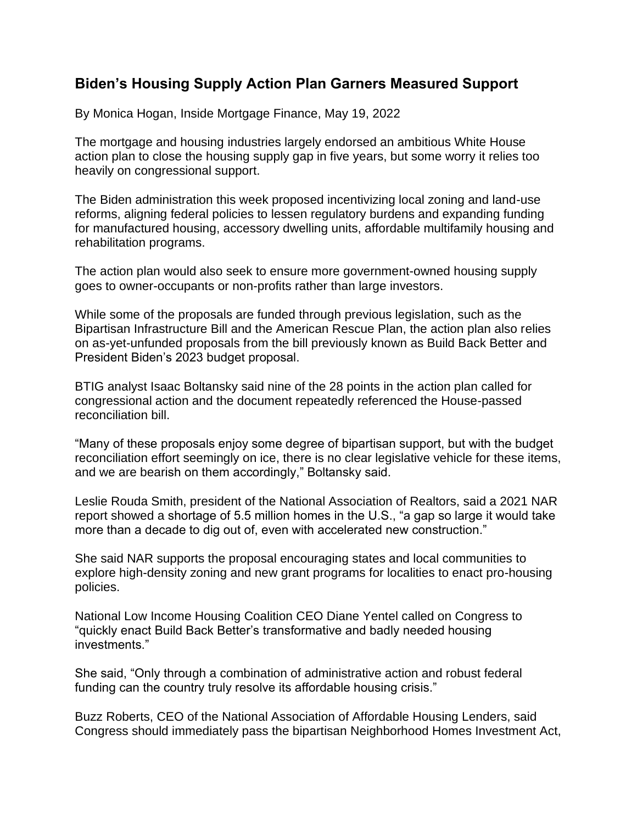## **Biden's Housing Supply Action Plan Garners Measured Support**

By Monica Hogan, Inside Mortgage Finance, May 19, 2022

The mortgage and housing industries largely endorsed an ambitious White House action plan to close the housing supply gap in five years, but some worry it relies too heavily on congressional support.

The Biden administration this week proposed incentivizing local zoning and land-use reforms, aligning federal policies to lessen regulatory burdens and expanding funding for manufactured housing, accessory dwelling units, affordable multifamily housing and rehabilitation programs.

The action plan would also seek to ensure more government-owned housing supply goes to owner-occupants or non-profits rather than large investors.

While some of the proposals are funded through previous legislation, such as the Bipartisan Infrastructure Bill and the American Rescue Plan, the action plan also relies on as-yet-unfunded proposals from the bill previously known as Build Back Better and President Biden's 2023 budget proposal.

BTIG analyst Isaac Boltansky said nine of the 28 points in the action plan called for congressional action and the document repeatedly referenced the House-passed reconciliation bill.

"Many of these proposals enjoy some degree of bipartisan support, but with the budget reconciliation effort seemingly on ice, there is no clear legislative vehicle for these items, and we are bearish on them accordingly," Boltansky said.

Leslie Rouda Smith, president of the National Association of Realtors, said a 2021 NAR report showed a shortage of 5.5 million homes in the U.S., "a gap so large it would take more than a decade to dig out of, even with accelerated new construction."

She said NAR supports the proposal encouraging states and local communities to explore high-density zoning and new grant programs for localities to enact pro-housing policies.

National Low Income Housing Coalition CEO Diane Yentel called on Congress to "quickly enact Build Back Better's transformative and badly needed housing investments."

She said, "Only through a combination of administrative action and robust federal funding can the country truly resolve its affordable housing crisis."

Buzz Roberts, CEO of the National Association of Affordable Housing Lenders, said Congress should immediately pass the bipartisan Neighborhood Homes Investment Act,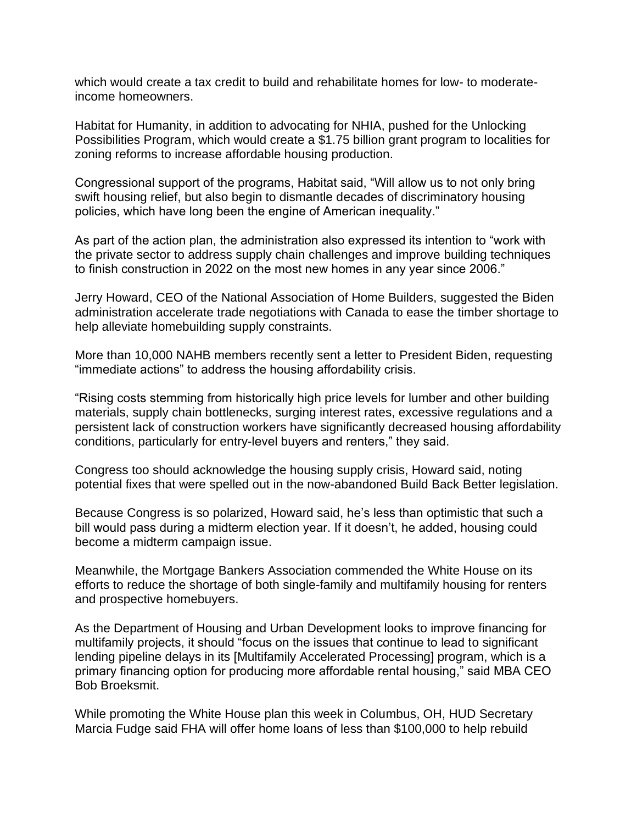which would create a tax credit to build and rehabilitate homes for low- to moderateincome homeowners.

Habitat for Humanity, in addition to advocating for NHIA, pushed for the Unlocking Possibilities Program, which would create a \$1.75 billion grant program to localities for zoning reforms to increase affordable housing production.

Congressional support of the programs, Habitat said, "Will allow us to not only bring swift housing relief, but also begin to dismantle decades of discriminatory housing policies, which have long been the engine of American inequality."

As part of the action plan, the administration also expressed its intention to "work with the private sector to address supply chain challenges and improve building techniques to finish construction in 2022 on the most new homes in any year since 2006."

Jerry Howard, CEO of the National Association of Home Builders, suggested the Biden administration accelerate trade negotiations with Canada to ease the timber shortage to help alleviate homebuilding supply constraints.

More than 10,000 NAHB members recently sent a letter to President Biden, requesting "immediate actions" to address the housing affordability crisis.

"Rising costs stemming from historically high price levels for lumber and other building materials, supply chain bottlenecks, surging interest rates, excessive regulations and a persistent lack of construction workers have significantly decreased housing affordability conditions, particularly for entry-level buyers and renters," they said.

Congress too should acknowledge the housing supply crisis, Howard said, noting potential fixes that were spelled out in the now-abandoned Build Back Better legislation.

Because Congress is so polarized, Howard said, he's less than optimistic that such a bill would pass during a midterm election year. If it doesn't, he added, housing could become a midterm campaign issue.

Meanwhile, the Mortgage Bankers Association commended the White House on its efforts to reduce the shortage of both single-family and multifamily housing for renters and prospective homebuyers.

As the Department of Housing and Urban Development looks to improve financing for multifamily projects, it should "focus on the issues that continue to lead to significant lending pipeline delays in its [Multifamily Accelerated Processing] program, which is a primary financing option for producing more affordable rental housing," said MBA CEO Bob Broeksmit.

While promoting the White House plan this week in Columbus, OH, HUD Secretary Marcia Fudge said FHA will offer home loans of less than \$100,000 to help rebuild